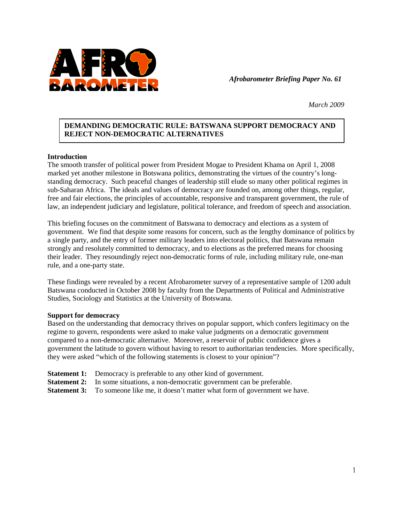

*Afrobarometer Briefing Paper No. 61* 

*March 2009* 

# **DEMANDING DEMOCRATIC RULE: BATSWANA SUPPORT DEMOCRACY AND REJECT NON-DEMOCRATIC ALTERNATIVES**

## **Introduction**

The smooth transfer of political power from President Mogae to President Khama on April 1, 2008 marked yet another milestone in Botswana politics, demonstrating the virtues of the country's longstanding democracy. Such peaceful changes of leadership still elude so many other political regimes in sub-Saharan Africa. The ideals and values of democracy are founded on, among other things, regular, free and fair elections, the principles of accountable, responsive and transparent government, the rule of law, an independent judiciary and legislature, political tolerance, and freedom of speech and association.

This briefing focuses on the commitment of Batswana to democracy and elections as a system of government. We find that despite some reasons for concern, such as the lengthy dominance of politics by a single party, and the entry of former military leaders into electoral politics, that Batswana remain strongly and resolutely committed to democracy, and to elections as the preferred means for choosing their leader. They resoundingly reject non-democratic forms of rule, including military rule, one-man rule, and a one-party state.

These findings were revealed by a recent Afrobarometer survey of a representative sample of 1200 adult Batswana conducted in October 2008 by faculty from the Departments of Political and Administrative Studies, Sociology and Statistics at the University of Botswana.

#### **Support for democracy**

Based on the understanding that democracy thrives on popular support, which confers legitimacy on the regime to govern, respondents were asked to make value judgments on a democratic government compared to a non-democratic alternative. Moreover, a reservoir of public confidence gives a government the latitude to govern without having to resort to authoritarian tendencies. More specifically, they were asked "which of the following statements is closest to your opinion"?

- **Statement 1:** Democracy is preferable to any other kind of government.
- **Statement 2:** In some situations, a non-democratic government can be preferable.
- **Statement 3:** To someone like me, it doesn't matter what form of government we have.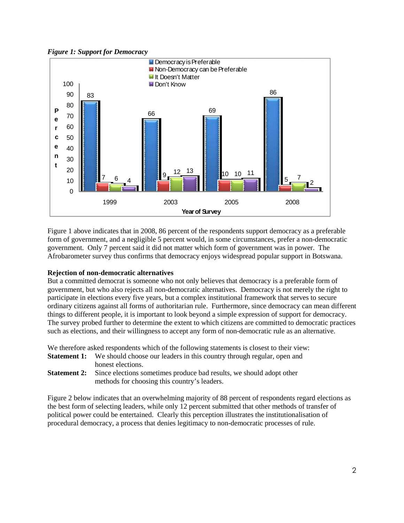*Figure 1: Support for Democracy* 



Figure 1 above indicates that in 2008, 86 percent of the respondents support democracy as a preferable form of government, and a negligible 5 percent would, in some circumstances, prefer a non-democratic government. Only 7 percent said it did not matter which form of government was in power. The Afrobarometer survey thus confirms that democracy enjoys widespread popular support in Botswana.

## **Rejection of non-democratic alternatives**

But a committed democrat is someone who not only believes that democracy is a preferable form of government, but who also rejects all non-democratic alternatives. Democracy is not merely the right to participate in elections every five years, but a complex institutional framework that serves to secure ordinary citizens against all forms of authoritarian rule. Furthermore, since democracy can mean different things to different people, it is important to look beyond a simple expression of support for democracy. The survey probed further to determine the extent to which citizens are committed to democratic practices such as elections, and their willingness to accept any form of non-democratic rule as an alternative.

We therefore asked respondents which of the following statements is closest to their view:

- **Statement 1:** We should choose our leaders in this country through regular, open and honest elections.
- **Statement 2:** Since elections sometimes produce bad results, we should adopt other methods for choosing this country's leaders.

Figure 2 below indicates that an overwhelming majority of 88 percent of respondents regard elections as the best form of selecting leaders, while only 12 percent submitted that other methods of transfer of political power could be entertained. Clearly this perception illustrates the institutionalisation of procedural democracy, a process that denies legitimacy to non-democratic processes of rule.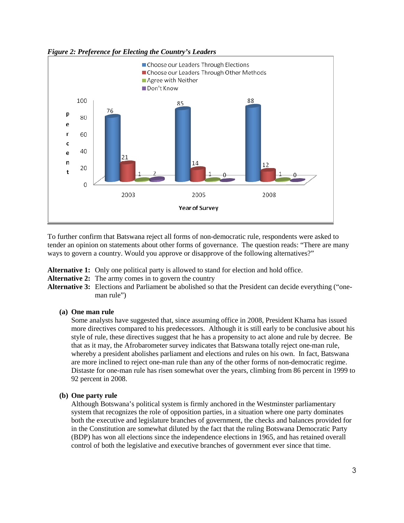



To further confirm that Batswana reject all forms of non-democratic rule, respondents were asked to tender an opinion on statements about other forms of governance. The question reads: "There are many ways to govern a country. Would you approve or disapprove of the following alternatives?"

**Alternative 1:** Only one political party is allowed to stand for election and hold office.

- **Alternative 2:** The army comes in to govern the country
- **Alternative 3:** Elections and Parliament be abolished so that the President can decide everything ("oneman rule")

#### **(a) One man rule**

Some analysts have suggested that, since assuming office in 2008, President Khama has issued more directives compared to his predecessors. Although it is still early to be conclusive about his style of rule, these directives suggest that he has a propensity to act alone and rule by decree. Be that as it may, the Afrobarometer survey indicates that Batswana totally reject one-man rule, whereby a president abolishes parliament and elections and rules on his own. In fact, Batswana are more inclined to reject one-man rule than any of the other forms of non-democratic regime. Distaste for one-man rule has risen somewhat over the years, climbing from 86 percent in 1999 to 92 percent in 2008.

#### **(b) One party rule**

Although Botswana's political system is firmly anchored in the Westminster parliamentary system that recognizes the role of opposition parties, in a situation where one party dominates both the executive and legislature branches of government, the checks and balances provided for in the Constitution are somewhat diluted by the fact that the ruling Botswana Democratic Party (BDP) has won all elections since the independence elections in 1965, and has retained overall control of both the legislative and executive branches of government ever since that time.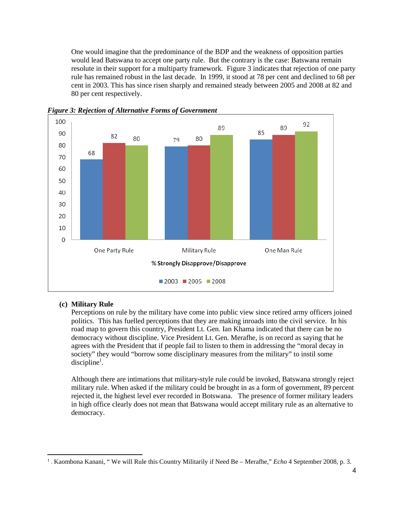One would imagine that the predominance of the BDP and the weakness of opposition parties would lead Batswana to accept one party rule. But the contrary is the case: Batswana remain resolute in their support for a multiparty framework. Figure 3 indicates that rejection of one party rule has remained robust in the last decade. In 1999, it stood at 78 per cent and declined to 68 per cent in 2003. This has since risen sharply and remained steady between 2005 and 2008 at 82 and 80 per cent respectively.



*Figure 3: Rejection of Alternative Forms of Government* 

## **(c) Military Rule**

 $\overline{a}$ 

Perceptions on rule by the military have come into public view since retired army officers joined politics. This has fuelled perceptions that they are making inroads into the civil service. In his road map to govern this country, President Lt. Gen. Ian Khama indicated that there can be no democracy without discipline. Vice President Lt. Gen. Merafhe, is on record as saying that he agrees with the President that if people fail to listen to them in addressing the "moral decay in society" they would "borrow some disciplinary measures from the military" to instil some  $discipher<sup>1</sup>$ .

Although there are intimations that military-style rule could be invoked, Batswana strongly reject military rule. When asked if the military could be brought in as a form of government, 89 percent rejected it, the highest level ever recorded in Botswana. The presence of former military leaders in high office clearly does not mean that Batswana would accept military rule as an alternative to democracy.

<sup>1</sup> . Kaombona Kanani, " We will Rule this Country Militarily if Need Be – Merafhe," *Echo* 4 September 2008, p. 3.